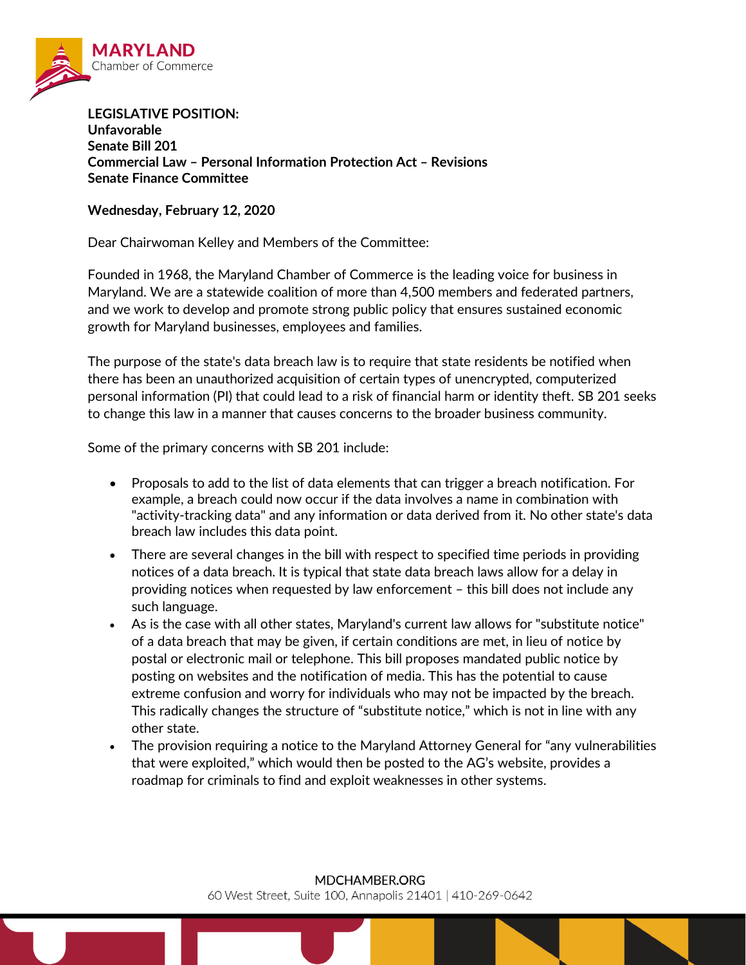

**LEGISLATIVE POSITION: Unfavorable Senate Bill 201 Commercial Law – Personal Information Protection Act – Revisions Senate Finance Committee**

## **Wednesday, February 12, 2020**

Dear Chairwoman Kelley and Members of the Committee:

Founded in 1968, the Maryland Chamber of Commerce is the leading voice for business in Maryland. We are a statewide coalition of more than 4,500 members and federated partners, and we work to develop and promote strong public policy that ensures sustained economic growth for Maryland businesses, employees and families.

The purpose of the state's data breach law is to require that state residents be notified when there has been an unauthorized acquisition of certain types of unencrypted, computerized personal information (PI) that could lead to a risk of financial harm or identity theft. SB 201 seeks to change this law in a manner that causes concerns to the broader business community.

Some of the primary concerns with SB 201 include:

- Proposals to add to the list of data elements that can trigger a breach notification. For example, a breach could now occur if the data involves a name in combination with "activity-tracking data" and any information or data derived from it. No other state's data breach law includes this data point.
- There are several changes in the bill with respect to specified time periods in providing notices of a data breach. It is typical that state data breach laws allow for a delay in providing notices when requested by law enforcement – this bill does not include any such language.
- As is the case with all other states, Maryland's current law allows for "substitute notice" of a data breach that may be given, if certain conditions are met, in lieu of notice by postal or electronic mail or telephone. This bill proposes mandated public notice by posting on websites and the notification of media. This has the potential to cause extreme confusion and worry for individuals who may not be impacted by the breach. This radically changes the structure of "substitute notice," which is not in line with any other state.
- The provision requiring a notice to the Maryland Attorney General for "any vulnerabilities that were exploited," which would then be posted to the AG's website, provides a roadmap for criminals to find and exploit weaknesses in other systems.

60 West Street, Suite 100, Annapolis 21401 | 410-269-0642

## MDCHAMBER.ORG